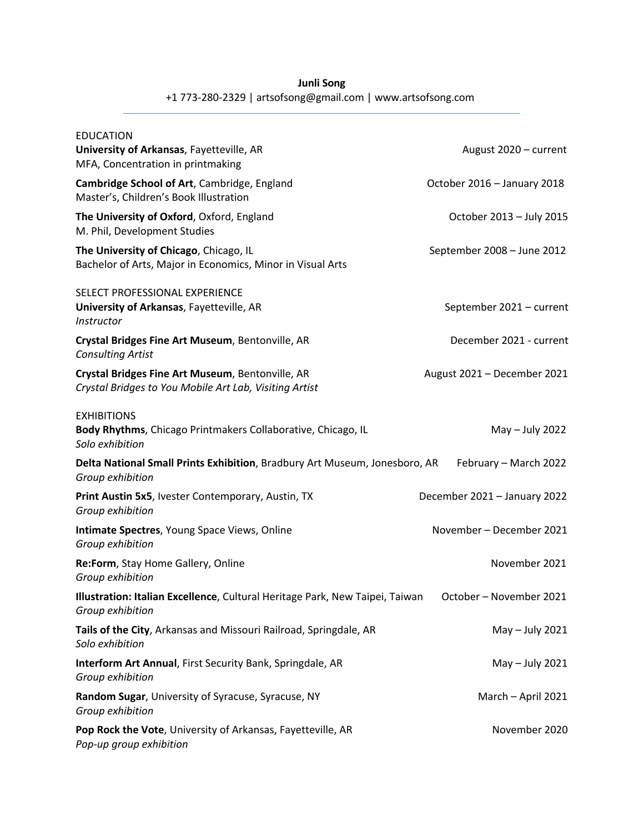## **Junli Song**

## +1 773-280-2329 | artsofsong@gmail.com | www.artsofsong.com

| <b>EDUCATION</b><br>University of Arkansas, Fayetteville, AR<br>MFA, Concentration in printmaking          | August 2020 - current        |
|------------------------------------------------------------------------------------------------------------|------------------------------|
| Cambridge School of Art, Cambridge, England<br>Master's, Children's Book Illustration                      | October 2016 - January 2018  |
| The University of Oxford, Oxford, England<br>M. Phil, Development Studies                                  | October 2013 - July 2015     |
| The University of Chicago, Chicago, IL<br>Bachelor of Arts, Major in Economics, Minor in Visual Arts       | September 2008 - June 2012   |
| SELECT PROFESSIONAL EXPERIENCE<br>University of Arkansas, Fayetteville, AR<br>Instructor                   | September 2021 - current     |
| Crystal Bridges Fine Art Museum, Bentonville, AR<br><b>Consulting Artist</b>                               | December 2021 - current      |
| Crystal Bridges Fine Art Museum, Bentonville, AR<br>Crystal Bridges to You Mobile Art Lab, Visiting Artist | August 2021 - December 2021  |
| <b>EXHIBITIONS</b><br>Body Rhythms, Chicago Printmakers Collaborative, Chicago, IL<br>Solo exhibition      | May - July 2022              |
| Delta National Small Prints Exhibition, Bradbury Art Museum, Jonesboro, AR<br>Group exhibition             | February - March 2022        |
| Print Austin 5x5, Ivester Contemporary, Austin, TX<br>Group exhibition                                     | December 2021 - January 2022 |
| Intimate Spectres, Young Space Views, Online<br>Group exhibition                                           | November - December 2021     |
| Re:Form, Stay Home Gallery, Online<br>Group exhibition                                                     | November 2021                |
| Illustration: Italian Excellence, Cultural Heritage Park, New Taipei, Taiwan<br>Group exhibition           | October - November 2021      |
| Tails of the City, Arkansas and Missouri Railroad, Springdale, AR<br>Solo exhibition                       | May - July 2021              |
| Interform Art Annual, First Security Bank, Springdale, AR<br>Group exhibition                              | May - July 2021              |
| Random Sugar, University of Syracuse, Syracuse, NY<br>Group exhibition                                     | March - April 2021           |
| Pop Rock the Vote, University of Arkansas, Fayetteville, AR<br>Pop-up group exhibition                     | November 2020                |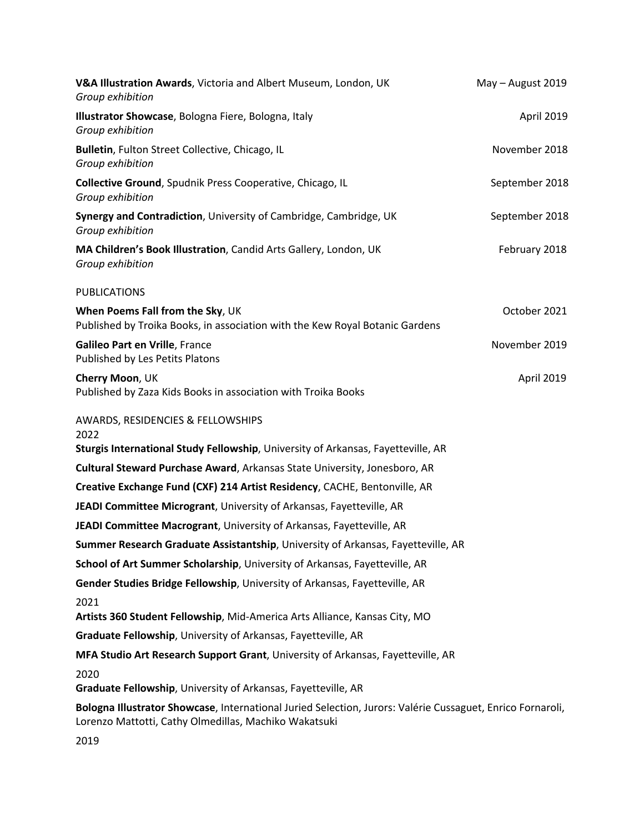| V&A Illustration Awards, Victoria and Albert Museum, London, UK<br>Group exhibition                                                                                 | May - August 2019 |
|---------------------------------------------------------------------------------------------------------------------------------------------------------------------|-------------------|
| Illustrator Showcase, Bologna Fiere, Bologna, Italy<br>Group exhibition                                                                                             | April 2019        |
| Bulletin, Fulton Street Collective, Chicago, IL<br>Group exhibition                                                                                                 | November 2018     |
| Collective Ground, Spudnik Press Cooperative, Chicago, IL<br>Group exhibition                                                                                       | September 2018    |
| Synergy and Contradiction, University of Cambridge, Cambridge, UK<br>Group exhibition                                                                               | September 2018    |
| MA Children's Book Illustration, Candid Arts Gallery, London, UK<br>Group exhibition                                                                                | February 2018     |
| <b>PUBLICATIONS</b>                                                                                                                                                 |                   |
| When Poems Fall from the Sky, UK<br>Published by Troika Books, in association with the Kew Royal Botanic Gardens                                                    | October 2021      |
| Galileo Part en Vrille, France<br>Published by Les Petits Platons                                                                                                   | November 2019     |
| Cherry Moon, UK<br>Published by Zaza Kids Books in association with Troika Books                                                                                    | April 2019        |
| AWARDS, RESIDENCIES & FELLOWSHIPS<br>2022                                                                                                                           |                   |
| Sturgis International Study Fellowship, University of Arkansas, Fayetteville, AR                                                                                    |                   |
| Cultural Steward Purchase Award, Arkansas State University, Jonesboro, AR                                                                                           |                   |
| Creative Exchange Fund (CXF) 214 Artist Residency, CACHE, Bentonville, AR                                                                                           |                   |
| JEADI Committee Microgrant, University of Arkansas, Fayetteville, AR                                                                                                |                   |
| JEADI Committee Macrogrant, University of Arkansas, Fayetteville, AR                                                                                                |                   |
| Summer Research Graduate Assistantship, University of Arkansas, Fayetteville, AR                                                                                    |                   |
| School of Art Summer Scholarship, University of Arkansas, Fayetteville, AR                                                                                          |                   |
| Gender Studies Bridge Fellowship, University of Arkansas, Fayetteville, AR                                                                                          |                   |
| 2021                                                                                                                                                                |                   |
| Artists 360 Student Fellowship, Mid-America Arts Alliance, Kansas City, MO                                                                                          |                   |
| Graduate Fellowship, University of Arkansas, Fayetteville, AR                                                                                                       |                   |
| MFA Studio Art Research Support Grant, University of Arkansas, Fayetteville, AR                                                                                     |                   |
| 2020<br>Graduate Fellowship, University of Arkansas, Fayetteville, AR                                                                                               |                   |
| Bologna Illustrator Showcase, International Juried Selection, Jurors: Valérie Cussaguet, Enrico Fornaroli,<br>Lorenzo Mattotti, Cathy Olmedillas, Machiko Wakatsuki |                   |
| 2019                                                                                                                                                                |                   |